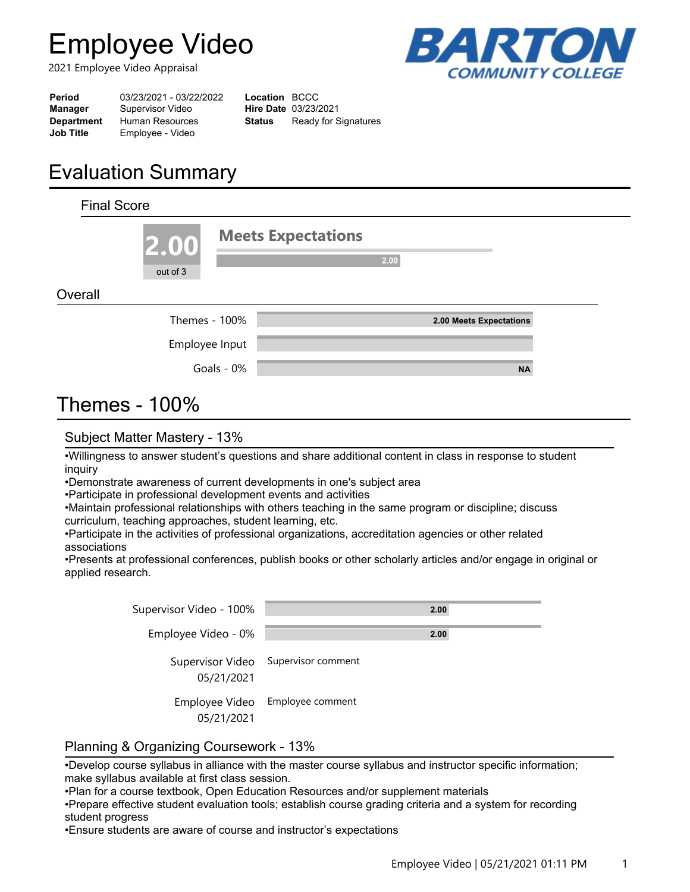# **Employee Video**

2021 Employee Video Appraisal



| Period            | 03/23/2021 - 03/22/2022 | <b>Location BCCC</b> |                             |
|-------------------|-------------------------|----------------------|-----------------------------|
| Manager           | Supervisor Video        |                      | <b>Hire Date 03/23/2021</b> |
| <b>Department</b> | <b>Human Resources</b>  | Status               | Ready for Signatures        |
| <b>Job Title</b>  | Employee - Video        |                      |                             |
|                   |                         |                      |                             |

## **Evaluation Summary**

| <b>Final Score</b> |                  |            |                                   |
|--------------------|------------------|------------|-----------------------------------|
|                    | 2.00<br>out of 3 |            | <b>Meets Expectations</b><br>2.00 |
| Overall            |                  |            |                                   |
|                    | Themes - 100%    |            | 2.00 Meets Expectations           |
|                    | Employee Input   |            |                                   |
|                    |                  | Goals - 0% | <b>NA</b>                         |
| Thomag             | 1000/            |            |                                   |

### Themes - 100%

### Subject Matter Mastery - 13%

•Willingness to answer student's questions and share additional content in class in response to student inquiry

•Demonstrate awareness of current developments in one's subject area

•Participate in professional development events and activities

•Maintain professional relationships with others teaching in the same program or discipline; discuss curriculum, teaching approaches, student learning, etc.

•Participate in the activities of professional organizations, accreditation agencies or other related associations

•Presents at professional conferences, publish books or other scholarly articles and/or engage in original or applied research.

| Supervisor Video - 100%      | 2.00                                |
|------------------------------|-------------------------------------|
| Employee Video - 0%          | 2.00                                |
| 05/21/2021                   | Supervisor Video Supervisor comment |
| Employee Video<br>05/21/2021 | Employee comment                    |

### Planning & Organizing Coursework - 13%

•Develop course syllabus in alliance with the master course syllabus and instructor specific information; make syllabus available at first class session.

•Plan for a course textbook, Open Education Resources and/or supplement materials

•Prepare effective student evaluation tools; establish course grading criteria and a system for recording student progress

•Ensure students are aware of course and instructor's expectations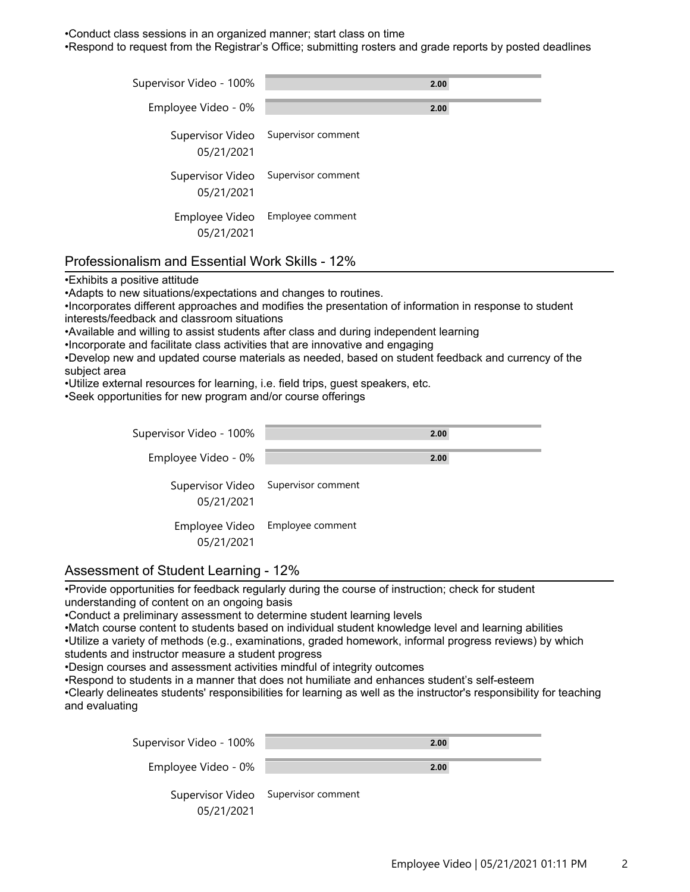•Conduct class sessions in an organized manner; start class on time

•Respond to request from the Registrar's Office; submitting rosters and grade reports by posted deadlines

| Supervisor Video - 100%      | 2.00                                |
|------------------------------|-------------------------------------|
| Employee Video - 0%          | 2.00                                |
| 05/21/2021                   | Supervisor Video Supervisor comment |
| 05/21/2021                   | Supervisor Video Supervisor comment |
| Employee Video<br>05/21/2021 | Employee comment                    |

### Professionalism and Essential Work Skills - 12%

•Exhibits a positive attitude

•Adapts to new situations/expectations and changes to routines.

•Incorporates different approaches and modifies the presentation of information in response to student interests/feedback and classroom situations

•Available and willing to assist students after class and during independent learning

•Incorporate and facilitate class activities that are innovative and engaging

•Develop new and updated course materials as needed, based on student feedback and currency of the subject area

•Utilize external resources for learning, i.e. field trips, guest speakers, etc.

•Seek opportunities for new program and/or course offerings

| Supervisor Video - 100%      | 2.00                                |
|------------------------------|-------------------------------------|
| Employee Video - 0%          | 2.00                                |
| 05/21/2021                   | Supervisor Video Supervisor comment |
| Employee Video<br>05/21/2021 | Employee comment                    |

#### Assessment of Student Learning - 12%

•Provide opportunities for feedback regularly during the course of instruction; check for student understanding of content on an ongoing basis

•Conduct a preliminary assessment to determine student learning levels

•Match course content to students based on individual student knowledge level and learning abilities •Utilize a variety of methods (e.g., examinations, graded homework, informal progress reviews) by which

students and instructor measure a student progress

•Design courses and assessment activities mindful of integrity outcomes

•Respond to students in a manner that does not humiliate and enhances student's self-esteem

•Clearly delineates students' responsibilities for learning as well as the instructor's responsibility for teaching and evaluating

| Supervisor Video - 100% | 2.00                                |
|-------------------------|-------------------------------------|
| Employee Video - 0%     | 2.00                                |
| 05/21/2021              | Supervisor Video Supervisor comment |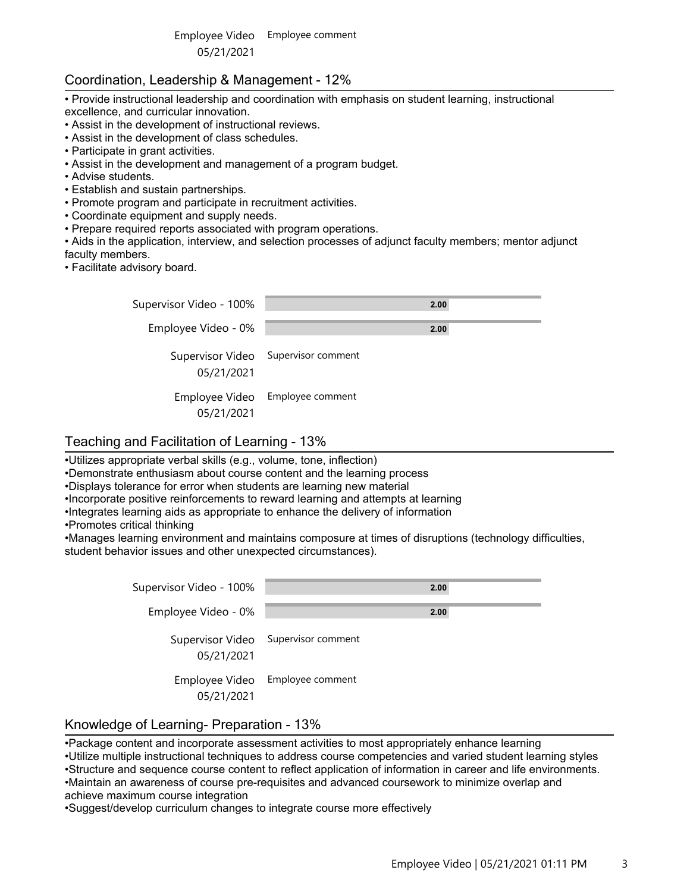### Coordination, Leadership & Management - 12%

- Provide instructional leadership and coordination with emphasis on student learning, instructional excellence, and curricular innovation.
- Assist in the development of instructional reviews.
- Assist in the development of class schedules.
- Participate in grant activities.
- Assist in the development and management of a program budget.
- Advise students.
- Establish and sustain partnerships.
- Promote program and participate in recruitment activities.
- Coordinate equipment and supply needs.
- Prepare required reports associated with program operations.

• Aids in the application, interview, and selection processes of adjunct faculty members; mentor adjunct faculty members.

• Facilitate advisory board.

| Supervisor Video - 100% | 2.00                                |
|-------------------------|-------------------------------------|
| Employee Video - 0%     | 2.00                                |
| 05/21/2021              | Supervisor Video Supervisor comment |
| 05/21/2021              | Employee Video Employee comment     |

### Teaching and Facilitation of Learning - 13%

•Utilizes appropriate verbal skills (e.g., volume, tone, inflection)

•Demonstrate enthusiasm about course content and the learning process

•Displays tolerance for error when students are learning new material

•Incorporate positive reinforcements to reward learning and attempts at learning

- •Integrates learning aids as appropriate to enhance the delivery of information
- •Promotes critical thinking

•Manages learning environment and maintains composure at times of disruptions (technology difficulties, student behavior issues and other unexpected circumstances).

| Supervisor Video - 100%        | 2.00               |
|--------------------------------|--------------------|
| Employee Video - 0%            | 2.00               |
| Supervisor Video<br>05/21/2021 | Supervisor comment |
| Employee Video<br>05/21/2021   | Employee comment   |

#### Knowledge of Learning- Preparation - 13%

•Package content and incorporate assessment activities to most appropriately enhance learning

•Utilize multiple instructional techniques to address course competencies and varied student learning styles •Structure and sequence course content to reflect application of information in career and life environments. •Maintain an awareness of course pre-requisites and advanced coursework to minimize overlap and achieve maximum course integration

•Suggest/develop curriculum changes to integrate course more effectively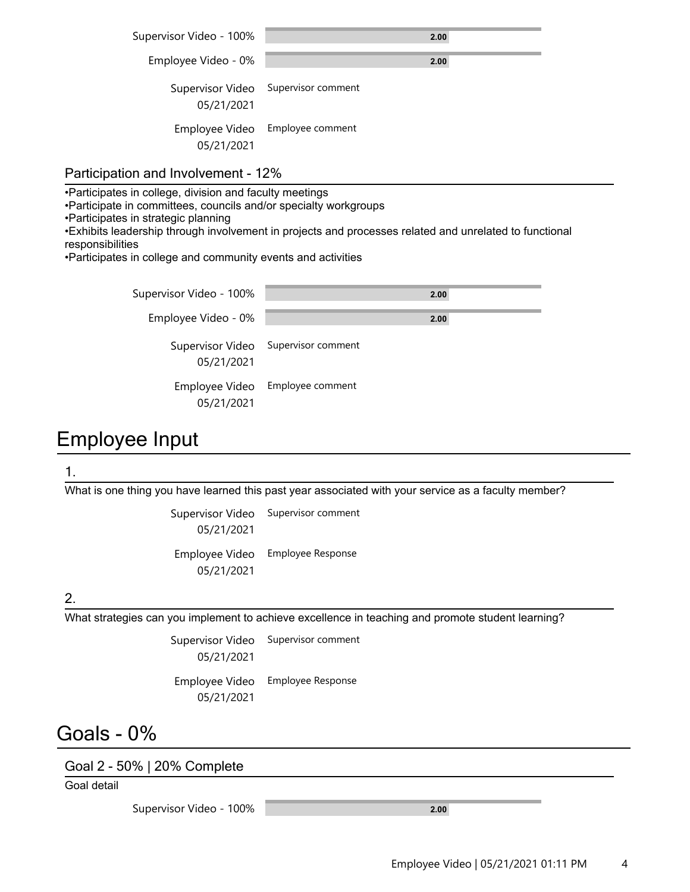| Supervisor Video - 100%      | 2.00                                |
|------------------------------|-------------------------------------|
| Employee Video - 0%          | 2.00                                |
| 05/21/2021                   | Supervisor Video Supervisor comment |
| Employee Video<br>05/21/2021 | Employee comment                    |

### Participation and Involvement - 12%

•Participates in college, division and faculty meetings

•Participate in committees, councils and/or specialty workgroups

•Participates in strategic planning

•Exhibits leadership through involvement in projects and processes related and unrelated to functional responsibilities

•Participates in college and community events and activities

| Supervisor Video - 100% | 2.00                                |
|-------------------------|-------------------------------------|
| Employee Video - 0%     | 2.00                                |
| 05/21/2021              | Supervisor Video Supervisor comment |
| 05/21/2021              | Employee Video Employee comment     |

### Employee Input

#### 1.

What is one thing you have learned this past year associated with your service as a faculty member?

Supervisor Video Supervisor comment 05/21/2021 Employee Video Employee Response

05/21/2021

### 2.

What strategies can you implement to achieve excellence in teaching and promote student learning?

Supervisor Video Supervisor comment 05/21/2021 Employee Video Employee Response

05/21/2021

### Goals - 0%

Goal 2 - 50% | 20% Complete

Goal detail

Supervisor Video - 100% **2.00**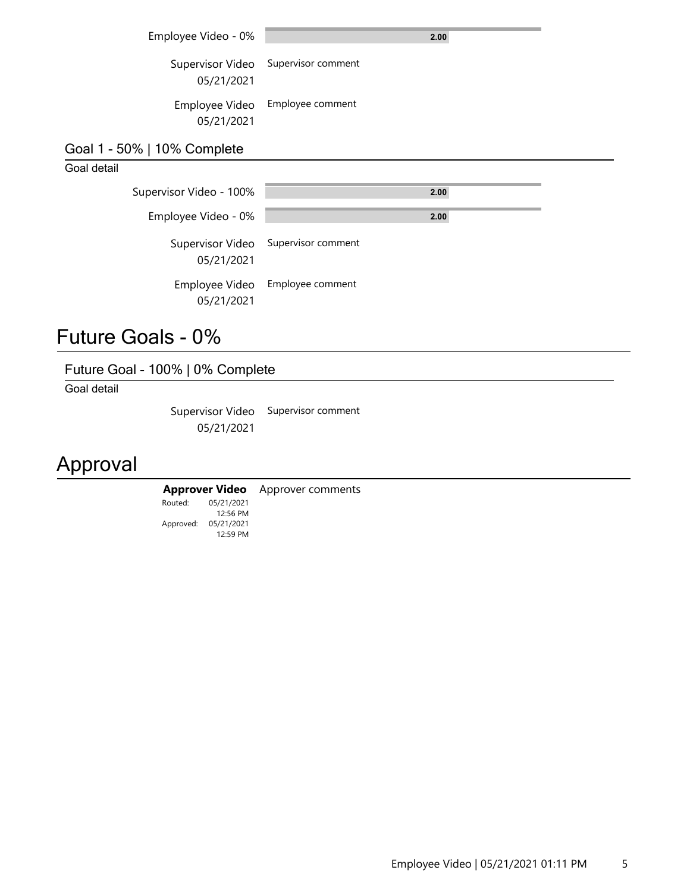| Employee Video - 0% |  |
|---------------------|--|
|                     |  |

Supervisor Video Supervisor comment 05/21/2021

Employee Video Employee comment 05/21/2021

### Goal 1 - 50% | 10% Complete

### Goal detail

| Supervisor Video - 100%      |                                     | 2.00 |  |
|------------------------------|-------------------------------------|------|--|
| Employee Video - 0%          |                                     | 2.00 |  |
| 05/21/2021                   | Supervisor Video Supervisor comment |      |  |
| Employee Video<br>05/21/2021 | Employee comment                    |      |  |

### Future Goals - 0%

### Future Goal - 100% | 0% Complete

Goal detail

Supervisor Video Supervisor comment 05/21/2021

# Approval

#### **Approver Video** Approver comments

Approved: 05/21/2021 Routed: 12:59 PM 05/21/2021 12:56 PM